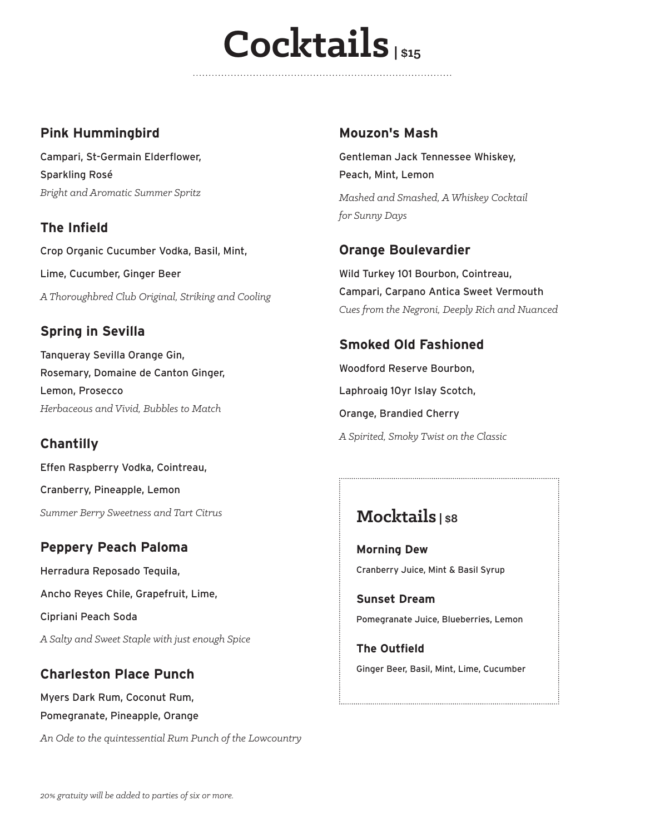## $C$ ocktails

#### **Pink Hummingbird**

Campari, St-Germain Elderflower, Sparkling Rosé *Bright and Aromatic Summer Spritz*

**The Infield** Crop Organic Cucumber Vodka, Basil, Mint, Lime, Cucumber, Ginger Beer *A Thoroughbred Club Original, Striking and Cooling*

#### **Spring in Sevilla**

Tanqueray Sevilla Orange Gin, Rosemary, Domaine de Canton Ginger, Lemon, Prosecco *Herbaceous and Vivid, Bubbles to Match*

#### **Chantilly**

Effen Raspberry Vodka, Cointreau, Cranberry, Pineapple, Lemon *Summer Berry Sweetness and Tart Citrus*

#### **Peppery Peach Paloma**

Herradura Reposado Tequila, Ancho Reyes Chile, Grapefruit, Lime, Cipriani Peach Soda *A Salty and Sweet Staple with just enough Spice*

#### **Charleston Place Punch**

Myers Dark Rum, Coconut Rum, Pomegranate, Pineapple, Orange *An Ode to the quintessential Rum Punch of the Lowcountry*

#### **Mouzon's Mash**

Gentleman Jack Tennessee Whiskey, Peach, Mint, Lemon *Mashed and Smashed, A Whiskey Cocktail for Sunny Days*

#### **Orange Boulevardier**

Wild Turkey 101 Bourbon, Cointreau, Campari, Carpano Antica Sweet Vermouth *Cues from the Negroni, Deeply Rich and Nuanced*

#### **Smoked Old Fashioned**

Woodford Reserve Bourbon, Laphroaig 10yr Islay Scotch, Orange, Brandied Cherry *A Spirited, Smoky Twist on the Classic*

#### **Mocktails | \$8**

**Morning Dew** Cranberry Juice, Mint & Basil Syrup

**Sunset Dream** Pomegranate Juice, Blueberries, Lemon

**The Outfield** Ginger Beer, Basil, Mint, Lime, Cucumber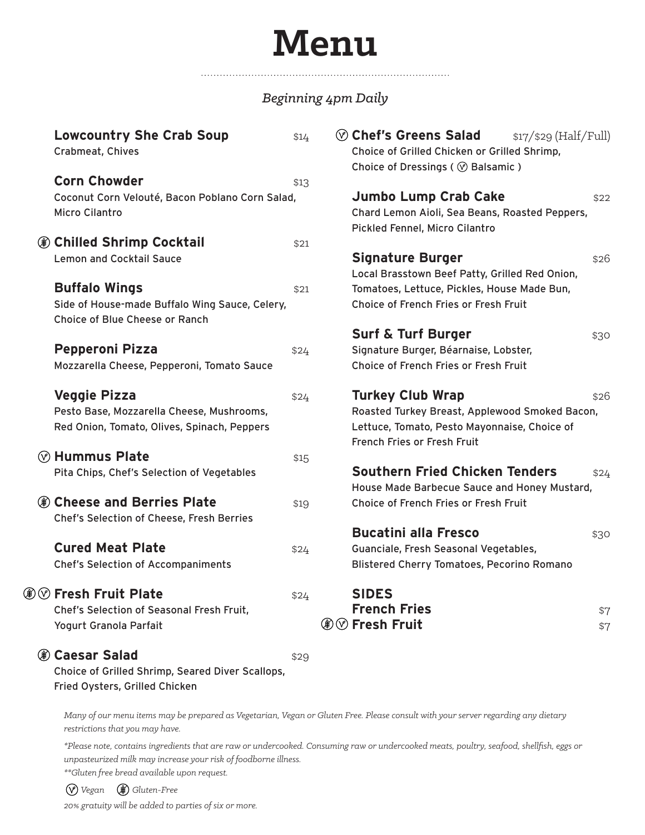### **Menu**

#### *Beginning 4pm Daily*

| <b>Lowcountry She Crab Soup</b><br>Crabmeat, Chives                                                  | \$14 | $\circledcirc$ Chef's Greens Salad<br>$$17$ / $$29$ (Half/Full)<br>Choice of Grilled Chicken or Grilled Shrimp,<br>Choice of Dressings ( $\circledcirc$ Balsamic ) |
|------------------------------------------------------------------------------------------------------|------|--------------------------------------------------------------------------------------------------------------------------------------------------------------------|
| <b>Corn Chowder</b>                                                                                  | \$13 |                                                                                                                                                                    |
| Coconut Corn Velouté, Bacon Poblano Corn Salad,<br>Micro Cilantro                                    |      | Jumbo Lump Crab Cake<br>\$22<br>Chard Lemon Aioli, Sea Beans, Roasted Peppers,<br>Pickled Fennel, Micro Cilantro                                                   |
| ◉ Chilled Shrimp Cocktail                                                                            | \$21 |                                                                                                                                                                    |
| <b>Lemon and Cocktail Sauce</b>                                                                      |      | <b>Signature Burger</b><br>\$26<br>Local Brasstown Beef Patty, Grilled Red Onion,                                                                                  |
| <b>Buffalo Wings</b>                                                                                 | \$21 | Tomatoes, Lettuce, Pickles, House Made Bun,                                                                                                                        |
| Side of House-made Buffalo Wing Sauce, Celery,<br>Choice of Blue Cheese or Ranch                     |      | Choice of French Fries or Fresh Fruit                                                                                                                              |
|                                                                                                      |      | <b>Surf &amp; Turf Burger</b><br>\$30                                                                                                                              |
| <b>Pepperoni Pizza</b>                                                                               | \$24 | Signature Burger, Béarnaise, Lobster,                                                                                                                              |
| Mozzarella Cheese, Pepperoni, Tomato Sauce                                                           |      | Choice of French Fries or Fresh Fruit                                                                                                                              |
| <b>Veggie Pizza</b>                                                                                  | \$24 | <b>Turkey Club Wrap</b><br>\$26                                                                                                                                    |
| Pesto Base, Mozzarella Cheese, Mushrooms,                                                            |      | Roasted Turkey Breast, Applewood Smoked Bacon,                                                                                                                     |
| Red Onion, Tomato, Olives, Spinach, Peppers                                                          |      | Lettuce, Tomato, Pesto Mayonnaise, Choice of<br>French Fries or Fresh Fruit                                                                                        |
| $\circledcirc$ Hummus Plate                                                                          | \$15 |                                                                                                                                                                    |
| Pita Chips, Chef's Selection of Vegetables                                                           |      | <b>Southern Fried Chicken Tenders</b><br>\$24<br>House Made Barbecue Sauce and Honey Mustard,                                                                      |
| ❀ Cheese and Berries Plate<br>Chef's Selection of Cheese, Fresh Berries                              | \$19 | Choice of French Fries or Fresh Fruit                                                                                                                              |
|                                                                                                      |      | <b>Bucatini alla Fresco</b><br>\$30                                                                                                                                |
| <b>Cured Meat Plate</b>                                                                              | \$24 | Guanciale, Fresh Seasonal Vegetables,                                                                                                                              |
| <b>Chef's Selection of Accompaniments</b>                                                            |      | <b>Blistered Cherry Tomatoes, Pecorino Romano</b>                                                                                                                  |
| $\circledcirc$ Fresh Fruit Plate                                                                     | \$24 | <b>SIDES</b>                                                                                                                                                       |
| Chef's Selection of Seasonal Fresh Fruit,                                                            |      | <b>French Fries</b><br>\$7                                                                                                                                         |
| Yogurt Granola Parfait                                                                               |      | <b><i>A</i></b> ⊙ Fresh Fruit<br>\$7                                                                                                                               |
| ⊛ Caesar Salad<br>Choice of Grilled Shrimp, Seared Diver Scallops,<br>Fried Oysters, Grilled Chicken | \$29 |                                                                                                                                                                    |

*Many of our menu items may be prepared as Vegetarian, Vegan or Gluten Free. Please consult with your server regarding any dietary restrictions that you may have.* 

*\*Please note, contains ingredients that are raw or undercooked. Consuming raw or undercooked meats, poultry, seafood, shellfish, eggs or unpasteurized milk may increase your risk of foodborne illness.* 

*\*\*Gluten free bread available upon request.*

 *Vegan Gluten-Free*

⊛

*20% gratuity will be added to parties of six or more.*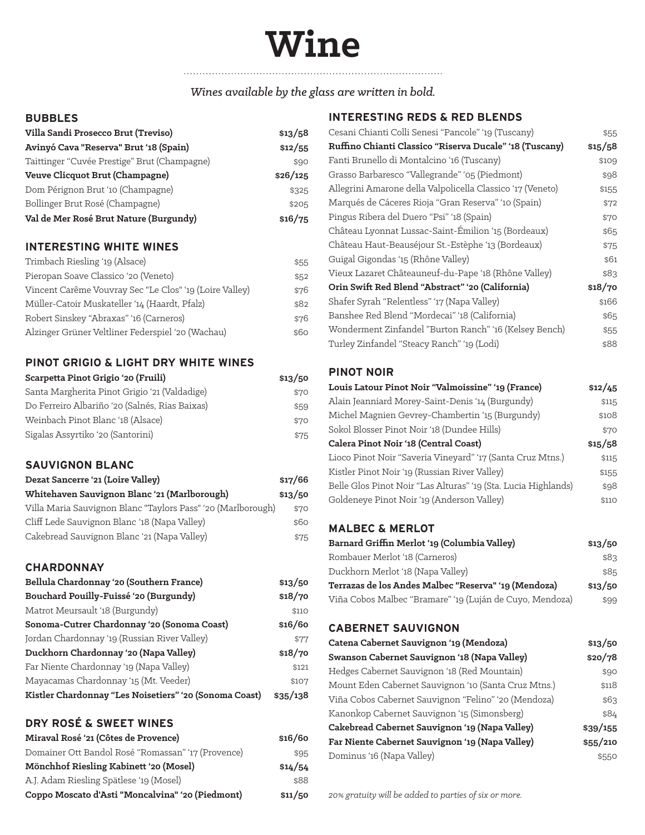## **Wine**

#### *Wines available by the glass are written in bold.*

#### **BUBBLES**

| Villa Sandi Prosecco Brut (Treviso)          | \$13/58  |
|----------------------------------------------|----------|
| Avinyó Cava "Reserva" Brut '18 (Spain)       | \$12/55  |
| Taittinger "Cuvée Prestige" Brut (Champagne) | \$90     |
| Veuve Clicquot Brut (Champagne)              | \$26/125 |
| Dom Pérignon Brut '10 (Champagne)            | \$325    |
| Bollinger Brut Rosé (Champagne)              | \$205    |
| Val de Mer Rosé Brut Nature (Burgundy)       | \$16/75  |

#### **INTERESTING WHITE WINES**

| Trimbach Riesling '19 (Alsace)                          | \$55 |
|---------------------------------------------------------|------|
| Pieropan Soave Classico '20 (Veneto)                    | \$52 |
| Vincent Carême Vouvray Sec "Le Clos" '19 (Loire Valley) | \$76 |
| Müller-Catoir Muskateller '14 (Haardt, Pfalz)           | \$82 |
| Robert Sinskey "Abraxas" '16 (Carneros)                 | \$76 |
| Alzinger Grüner Veltliner Federspiel '20 (Wachau)       | \$60 |

#### **PINOT GRIGIO & LIGHT DRY WHITE WINES**

| Scarpetta Pinot Grigio '20 (Fruili)            | \$13/50 |
|------------------------------------------------|---------|
| Santa Margherita Pinot Grigio '21 (Valdadige)  | \$70    |
| Do Ferreiro Albariño '20 (Salnés, Rias Baixas) | \$59    |
| Weinbach Pinot Blanc '18 (Alsace)              | \$70    |
| Sigalas Assyrtiko '20 (Santorini)              | \$75    |

#### **SAUVIGNON BLANC**

| Dezat Sancerre '21 (Loire Valley)                            | \$17/66 |
|--------------------------------------------------------------|---------|
| Whitehaven Sauvignon Blanc '21 (Marlborough)                 | \$13/50 |
| Villa Maria Sauvignon Blanc "Taylors Pass" '20 (Marlborough) | \$70    |
| Cliff Lede Sauvignon Blanc '18 (Napa Valley)                 | \$60    |
| Cakebread Sauvignon Blanc '21 (Napa Valley)                  | \$75    |

#### **CHARDONNAY**

| Bellula Chardonnay '20 (Southern France)               | \$13/50  |
|--------------------------------------------------------|----------|
| Bouchard Pouilly-Fuissé '20 (Burgundy)                 | \$18/70  |
| Matrot Meursault '18 (Burgundy)                        | \$110    |
| Sonoma-Cutrer Chardonnay '20 (Sonoma Coast)            | \$16/60  |
| Jordan Chardonnay '19 (Russian River Valley)           | \$77     |
| Duckhorn Chardonnay '20 (Napa Valley)                  | \$18/70  |
| Far Niente Chardonnay '19 (Napa Valley)                | \$121    |
| Mayacamas Chardonnay '15 (Mt. Veeder)                  | \$107    |
| Kistler Chardonnay "Les Noisetiers" '20 (Sonoma Coast) | \$35/138 |

#### **DRY ROSÉ & SWEET WINES**

| Miraval Rosé '21 (Côtes de Provence)               | \$16/60 |
|----------------------------------------------------|---------|
| Domainer Ott Bandol Rosé "Romassan" '17 (Provence) | \$95    |
| Mönchhof Riesling Kabinett '20 (Mosel)             | \$14/54 |
| A.J. Adam Riesling Spätlese '19 (Mosel)            | \$88    |
| Coppo Moscato d'Asti "Moncalvina" '20 (Piedmont)   | \$11/50 |

#### **INTERESTING REDS & RED BLENDS**

| Cesani Chianti Colli Senesi "Pancole" '19 (Tuscany)        | \$55    |
|------------------------------------------------------------|---------|
| Ruffino Chianti Classico "Riserva Ducale" '18 (Tuscany)    | \$15/58 |
| Fanti Brunello di Montalcino '16 (Tuscany)                 | \$109   |
| Grasso Barbaresco "Vallegrande" '05 (Piedmont)             | \$98    |
| Allegrini Amarone della Valpolicella Classico '17 (Veneto) | \$155   |
| Marqués de Cáceres Rioja "Gran Reserva" '10 (Spain)        | \$72    |
| Pingus Ribera del Duero "Psi" '18 (Spain)                  | \$70    |
| Château Lyonnat Lussac-Saint-Émilion '15 (Bordeaux)        | \$65    |
| Château Haut-Beauséjour St.-Estèphe '13 (Bordeaux)         | \$75    |
| Guigal Gigondas '15 (Rhône Valley)                         | \$61    |
| Vieux Lazaret Châteauneuf-du-Pape '18 (Rhône Valley)       | \$83    |
| Orin Swift Red Blend "Abstract" '20 (California)           | \$18/70 |
| Shafer Syrah "Relentless" '17 (Napa Valley)                | \$166   |
| Banshee Red Blend "Mordecai" '18 (California)              | \$65    |
| Wonderment Zinfandel "Burton Ranch" '16 (Kelsey Bench)     | \$55    |
| Turley Zinfandel "Steacy Ranch" '19 (Lodi)                 | \$88    |

#### **PINOT NOIR**

| Louis Latour Pinot Noir "Valmoissine" '19 (France)             | \$12/45 |
|----------------------------------------------------------------|---------|
| Alain Jeanniard Morey-Saint-Denis '14 (Burgundy)               | \$115   |
| Michel Magnien Gevrey-Chambertin '15 (Burgundy)                | \$108   |
| Sokol Blosser Pinot Noir '18 (Dundee Hills)                    | \$70    |
| Calera Pinot Noir '18 (Central Coast)                          |         |
| Lioco Pinot Noir "Saveria Vineyard" '17 (Santa Cruz Mtns.)     | \$115   |
| Kistler Pinot Noir '19 (Russian River Valley)                  | \$155   |
| Belle Glos Pinot Noir "Las Alturas" '19 (Sta. Lucia Highlands) | \$98    |
| Goldeneye Pinot Noir '19 (Anderson Valley)                     | \$110   |
|                                                                |         |

#### **MALBEC & MERLOT**

| Barnard Griffin Merlot '19 (Columbia Valley)             | \$13/50 |
|----------------------------------------------------------|---------|
| Rombauer Merlot '18 (Carneros)                           | \$83    |
| Duckhorn Merlot '18 (Napa Valley)                        | \$85    |
| Terrazas de los Andes Malbec "Reserva" '19 (Mendoza)     | \$13/50 |
| Viña Cobos Malbec "Bramare" '19 (Luján de Cuyo, Mendoza) | \$99    |

#### **CABERNET SAUVIGNON**

| Catena Cabernet Sauvignon '19 (Mendoza)              | \$13/50  |
|------------------------------------------------------|----------|
| Swanson Cabernet Sauvignon '18 (Napa Valley)         | \$20/78  |
| Hedges Cabernet Sauvignon '18 (Red Mountain)         | \$90     |
| Mount Eden Cabernet Sauvignon '10 (Santa Cruz Mtns.) | \$118    |
| Viña Cobos Cabernet Sauvignon "Felino" '20 (Mendoza) | \$63     |
| Kanonkop Cabernet Sauvignon '15 (Simonsberg)         | \$84     |
| Cakebread Cabernet Sauvignon '19 (Napa Valley)       | \$39/155 |
| Far Niente Cabernet Sauvignon '19 (Napa Valley)      | \$55/210 |
| Dominus '16 (Napa Valley)                            | \$550    |

*20% gratuity will be added to parties of six or more.*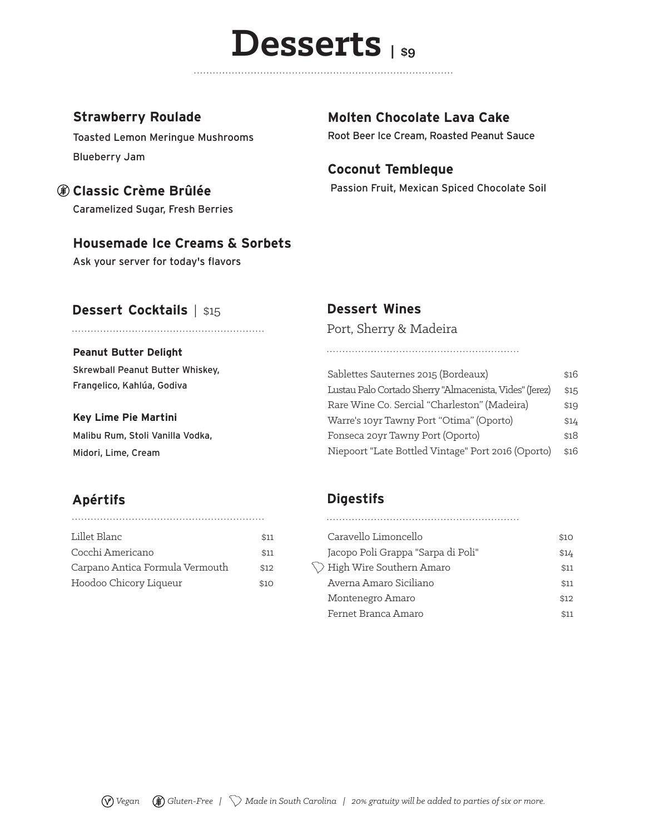### **Desserts | \$9**

#### **Strawberry Roulade**

Toasted Lemon Meringue Mushrooms Blueberry Jam

#### **Classic Crème Brûlée**

Caramelized Sugar, Fresh Berries

#### **Housemade Ice Creams & Sorbets**

Ask your server for today's flavors

#### **Dessert Cocktails** | \$15

#### **Peanut Butter Delight**

Skrewball Peanut Butter Whiskey, Frangelico, Kahlúa, Godiva

#### **Key Lime Pie Martini**

Malibu Rum, Stoli Vanilla Vodka, Midori, Lime, Cream

#### **Apértifs**

| Lillet Blanc                    | \$11 |
|---------------------------------|------|
| Cocchi Americano                | \$11 |
| Carpano Antica Formula Vermouth | \$12 |
| Hoodoo Chicory Liqueur          | \$10 |

#### **Molten Chocolate Lava Cake**

Root Beer Ice Cream, Roasted Peanut Sauce

#### **Coconut Tembleque**

Passion Fruit, Mexican Spiced Chocolate Soil

#### **Dessert Wines**

Port, Sherry & Madeira

| Sablettes Sauternes 2015 (Bordeaux)                     | \$16 |
|---------------------------------------------------------|------|
| Lustau Palo Cortado Sherry "Almacenista, Vides" (Jerez) | \$15 |
| Rare Wine Co. Sercial "Charleston" (Madeira)            | \$19 |
| Warre's 10yr Tawny Port "Otima" (Oporto)                | \$14 |
| Fonseca 20yr Tawny Port (Oporto)                        | \$18 |
| Niepoort "Late Bottled Vintage" Port 2016 (Oporto)      | \$16 |

#### **Digestifs**

| Caravello Limoncello               | \$10 |
|------------------------------------|------|
| Jacopo Poli Grappa "Sarpa di Poli" | \$14 |
| High Wire Southern Amaro           | \$11 |
| Averna Amaro Siciliano             | \$11 |
| Montenegro Amaro                   | \$12 |
| Fernet Branca Amaro                | \$11 |
|                                    |      |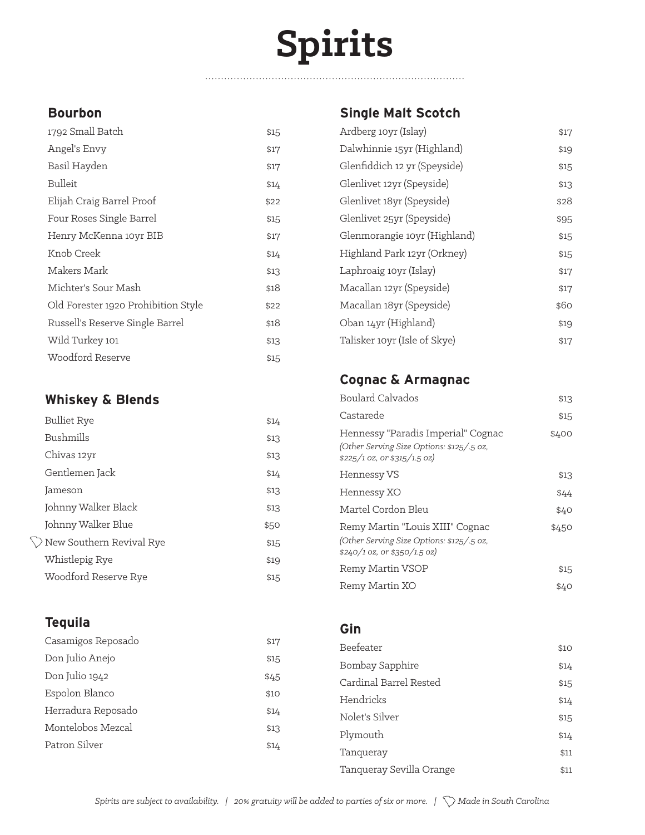# **Spirits**

. . . . . . . . . . . . . . . . . .

#### **Bourbon**

| 1792 Small Batch                    | \$15 |
|-------------------------------------|------|
| Angel's Envy                        | \$17 |
| Basil Hayden                        | \$17 |
| Bulleit                             | \$14 |
| Elijah Craig Barrel Proof           | \$22 |
| Four Roses Single Barrel            | \$15 |
| Henry McKenna 10yr BIB              | \$17 |
| Knob Creek                          | \$14 |
| Makers Mark                         | \$13 |
| Michter's Sour Mash                 | \$18 |
| Old Forester 1920 Prohibition Style | \$22 |
| Russell's Reserve Single Barrel     | \$18 |
| Wild Turkey 101                     | \$13 |
| Woodford Reserve                    | \$15 |

#### **Whiskey & Blends**

| <b>Bulliet Rye</b>                   | \$14 |
|--------------------------------------|------|
| Bushmills                            | \$13 |
| Chivas 12yr                          | \$13 |
| Gentlemen Jack                       | \$14 |
| Jameson                              | \$13 |
| Johnny Walker Black                  | \$13 |
| Johnny Walker Blue                   | \$50 |
| $\setminus$ New Southern Revival Rye | \$15 |
| Whistlepig Rye                       | \$19 |
| Woodford Reserve Rye                 | \$15 |

#### **Tequila**

| Casamigos Reposado | \$17 |
|--------------------|------|
| Don Julio Anejo    | \$15 |
| Don Julio 1942     | \$45 |
| Espolon Blanco     | \$10 |
| Herradura Reposado | \$14 |
| Montelobos Mezcal  | \$13 |
| Patron Silver      | \$14 |

#### **Single Malt Scotch**

| Ardberg 10yr (Islay)         | \$17 |
|------------------------------|------|
| Dalwhinnie 15yr (Highland)   | \$19 |
| Glenfiddich 12 yr (Speyside) | \$15 |
| Glenlivet 12yr (Speyside)    | \$13 |
| Glenlivet 18yr (Speyside)    | \$28 |
| Glenlivet 25yr (Speyside)    | \$95 |
| Glenmorangie 10yr (Highland) | \$15 |
| Highland Park 12yr (Orkney)  | \$15 |
| Laphroaig 10yr (Islay)       | \$17 |
| Macallan 12yr (Speyside)     | \$17 |
| Macallan 18yr (Speyside)     | \$60 |
| Oban 14yr (Highland)         | \$19 |
| Talisker 10yr (Isle of Skye) | \$17 |
|                              |      |

#### **Cognac & Armagnac**

| Boulard Calvados                                                                                                 | \$13  |
|------------------------------------------------------------------------------------------------------------------|-------|
| Castarede                                                                                                        | \$15  |
| Hennessy "Paradis Imperial" Cognac<br>(Other Serving Size Options: \$125/5 oz,<br>$$225/1$ oz, or $$315/1.5$ oz) | \$400 |
| Hennessy VS                                                                                                      | \$13  |
| Hennessy XO                                                                                                      | \$44  |
| Martel Cordon Bleu                                                                                               | \$40  |
| Remy Martin "Louis XIII" Cognac<br>(Other Serving Size Options: \$125/5 oz,<br>$$240/1$ oz, or $$350/1.5$ oz)    | \$450 |
| Remy Martin VSOP                                                                                                 | \$15  |
| Remy Martin XO                                                                                                   | \$40  |

#### **Gin**

| Beefeater                | \$10 |
|--------------------------|------|
| Bombay Sapphire          | \$14 |
| Cardinal Barrel Rested   | \$15 |
| Hendricks                | \$14 |
| Nolet's Silver           | \$15 |
| Plymouth                 | \$14 |
| Tanqueray                | \$11 |
| Tanqueray Sevilla Orange | \$11 |